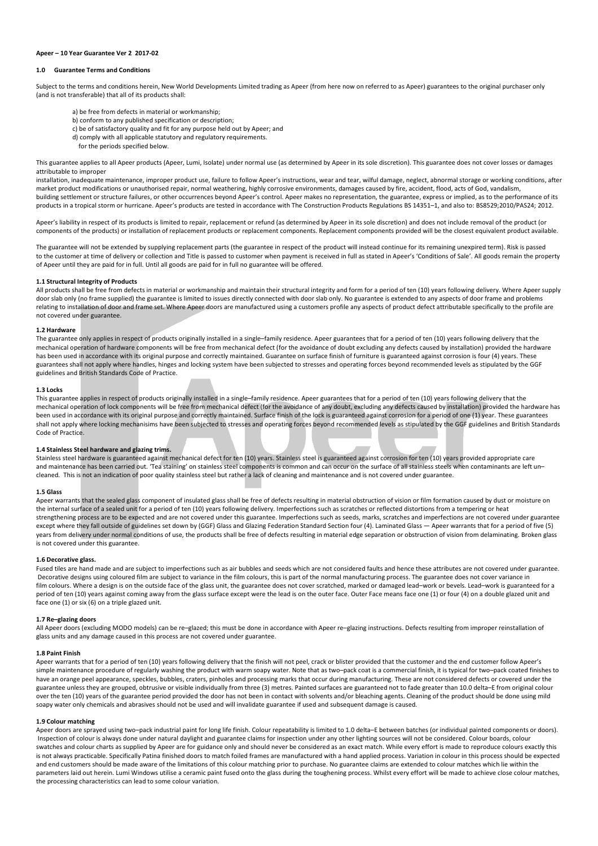### **Apeer – 10 Year Guarantee Ver 2 2017-02**

# **1.0 Guarantee Terms and Conditions**

Subject to the terms and conditions herein, New World Developments Limited trading as Apeer (from here now on referred to as Apeer) guarantees to the original purchaser only (and is not transferable) that all of its products shall:

- a) be free from defects in material or workmanship;
- b) conform to any published specification or description;
- c) be of satisfactory quality and fit for any purpose held out by Apeer; and
- d) comply with all applicable statutory and regulatory requirements.
- for the periods specified below.

This guarantee applies to all Apeer products (Apeer, Lumi, Isolate) under normal use (as determined by Apeer in its sole discretion). This guarantee does not cover losses or damages attributable to improper

installation, inadequate maintenance, improper product use, failure to follow Apeer's instructions, wear and tear, wilful damage, neglect, abnormal storage or working conditions, after market product modifications or unauthorised repair, normal weathering, highly corrosive environments, damages caused by fire, accident, flood, acts of God, vandalism, building settlement or structure failures, or other occurrences beyond Apeer's control. Apeer makes no representation, the guarantee, express or implied, as to the performance of its products in a tropical storm or hurricane. Apeer's products are tested in accordance with The Construction Products Regulations BS 14351–1, and also to: BS8529;2010/PAS24; 2012.

Apeer's liability in respect of its products is limited to repair, replacement or refund (as determined by Apeer in its sole discretion) and does not include removal of the product (or components of the products) or installation of replacement products or replacement components. Replacement components provided will be the closest equivalent product available.

The guarantee will not be extended by supplying replacement parts (the guarantee in respect of the product will instead continue for its remaining unexpired term). Risk is passed to the customer at time of delivery or collection and Title is passed to customer when payment is received in full as stated in Apeer's 'Conditions of Sale'. All goods remain the property of Apeer until they are paid for in full. Until all goods are paid for in full no guarantee will be offered.

## **1.1 Structural Integrity of Products**

All products shall be free from defects in material or workmanship and maintain their structural integrity and form for a period of ten (10) years following delivery. Where Apeer supply door slab only (no frame supplied) the guarantee is limited to issues directly connected with door slab only. No guarantee is extended to any aspects of door frame and problems relating to installation of door and frame set. Where Apeer doors are manufactured using a customers profile any aspects of product defect attributable specifically to the profile are not covered under guarantee.

#### **1.2 Hardware**

The guarantee only applies in respect of products originally installed in a single-family residence. Apeer guarantees that for a period of ten (10) years following delivery that the mechanical operation of hardware components will be free from mechanical defect (for the avoidance of doubt excluding any defects caused by installation) provided the hardware has been used in accordance with its original purpose and correctly maintained. Guarantee on surface finish of furniture is guaranteed against corrosion is four (4) years. These guarantees shall not apply where handles, hinges and locking system have been subjected to stresses and operating forces beyond recommended levels as stipulated by the GGF guidelines and British Standards Code of Practice.

#### **1.3 Locks**

This guarantee applies in respect of products originally installed in a single-family residence. Apeer guarantees that for a period of ten (10) years following delivery that the mechanical operation of lock components will be free from mechanical defect (for the avoidance of any doubt, excluding any defects caused by installation) provided the hardware has been used in accordance with its original purpose and correctly maintained. Surface finish of the lock is guaranteed against corrosion for a period of one (1) year. These guarantees shall not apply where locking mechanisims have been subjected to stresses and operating forces beyond recommended levels as stipulated by the GGF guidelines and British Standards Code of Practice.

#### **1.4 Stainless Steel hardware and glazing trims.**

Stainless steel hardware is guaranteed against mechanical defect for ten (10) years. Stainless steel is guaranteed against corrosion for ten (10) years provided appropriate care and maintenance has been carried out. 'Tea staining' on stainless steel components is common and can occur on the surface of all stainless steels when contaminants are left un– cleaned. This is not an indication of poor quality stainless steel but rather a lack of cleaning and maintenance and is not covered under guarantee.

#### **1.5 Glass**

Apeer warrants that the sealed glass component of insulated glass shall be free of defects resulting in material obstruction of vision or film formation caused by dust or moisture on the internal surface of a sealed unit for a period of ten (10) years following delivery. Imperfections such as scratches or reflected distortions from a tempering or heat strengthening process are to be expected and are not covered under this guarantee. Imperfections such as seeds, marks, scratches and imperfections are not covered under guarantee except where they fall outside of guidelines set down by (GGF) Glass and Glazing Federation Standard Section four (4). Laminated Glass - Apeer warrants that for a period of five (5) years from delivery under normal conditions of use, the products shall be free of defects resulting in material edge separation or obstruction of vision from delaminating. Broken glass is not covered under this guarantee.

#### **1.6 Decorative glass.**

Fused tiles are hand made and are subject to imperfections such as air bubbles and seeds which are not considered faults and hence these attributes are not covered under guarantee. Decorative designs using coloured film are subject to variance in the film colours, this is part of the normal manufacturing process. The guarantee does not cover variance in film colours. Where a design is on the outside face of the glass unit, the guarantee does not cover scratched, marked or damaged lead-work or bevels. Lead-work is guaranteed for a period of ten (10) years against coming away from the glass surface except were the lead is on the outer face. Outer Face means face one (1) or four (4) on a double glazed unit and face one (1) or six (6) on a triple glazed unit.

### **1.7 Re–glazing doors**

All Apeer doors (excluding MODO models) can be re-glazed; this must be done in accordance with Apeer re-glazing instructions. Defects resulting from improper reinstallation of glass units and any damage caused in this process are not covered under guarantee.

### **1.8 Paint Finish**

Apeer warrants that for a period of ten (10) years following delivery that the finish will not peel, crack or blister provided that the customer and the end customer follow Apeer's simple maintenance procedure of regularly washing the product with warm soapy water. Note that as two-pack coat is a commercial finish, it is typical for two-pack coated finishes to have an orange peel appearance, speckles, bubbles, craters, pinholes and processing marks that occur during manufacturing. These are not considered defects or covered under the guarantee unless they are grouped, obtrusive or visible individually from three (3) metres. Painted surfaces are guaranteed not to fade greater than 10.0 delta–E from original colour over the ten (10) years of the guarantee period provided the door has not been in contact with solvents and/or bleaching agents. Cleaning of the product should be done using mild soapy water only chemicals and abrasives should not be used and will invalidate guarantee if used and subsequent damage is caused.

#### **1.9 Colour matching**

Apeer doors are sprayed using two–pack industrial paint for long life finish. Colour repeatability is limited to 1.0 delta–E between batches (or individual painted components or doors). Inspection of colour is always done under natural daylight and guarantee claims for inspection under any other lighting sources will not be considered. Colour boards, colour swatches and colour charts as supplied by Apeer are for guidance only and should never be considered as an exact match. While every effort is made to reproduce colours exactly this is not always practicable. Specifically Patina finished doors to match foiled frames are manufactured with a hand applied process. Variation in colour in this process should be expected and end customers should be made aware of the limitations of this colour matching prior to purchase. No guarantee claims are extended to colour matches which lie within the parameters laid out herein. Lumi Windows utilise a ceramic paint fused onto the glass during the toughening process. Whilst every effort will be made to achieve close colour matches, the processing characteristics can lead to some colour variation.